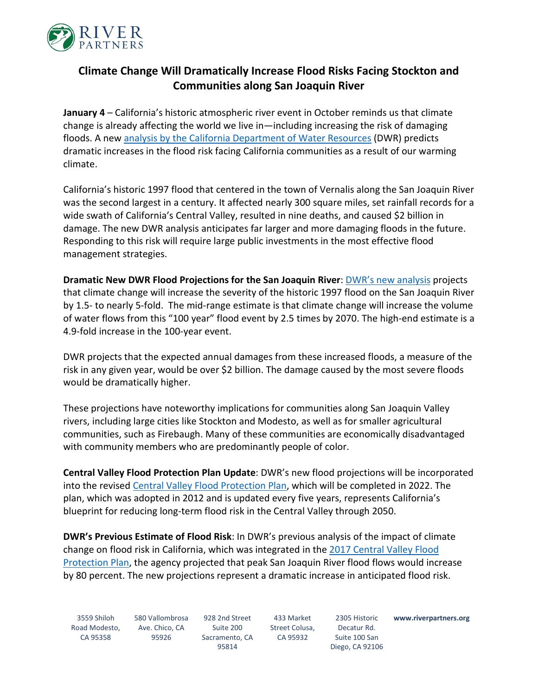

## **Climate Change Will Dramatically Increase Flood Risks Facing Stockton and Communities along San Joaquin River**

**January 4** – California's historic atmospheric river event in October reminds us that climate change is already affecting the world we live in—including increasing the risk of damaging floods. A new [analysis by the California Department of Water Resources](http://midsjrfloodplan.org/sites/default/files/MidSJR-Plan-Climate-Resilience-Workshop-20210921.pdf) (DWR) predicts dramatic increases in the flood risk facing California communities as a result of our warming climate.

California's historic 1997 flood that centered in the town of Vernalis along the San Joaquin River was the second largest in a century. It affected nearly 300 square miles, set rainfall records for a wide swath of California's Central Valley, resulted in nine deaths, and caused \$2 billion in damage. The new DWR analysis anticipates far larger and more damaging floods in the future. Responding to this risk will require large public investments in the most effective flood management strategies.

**Dramatic New DWR Flood Projections for the San Joaquin River**: [DWR's new analysis](http://midsjrfloodplan.org/sites/default/files/MidSJR-Plan-Climate-Resilience-Workshop-20210921.pdf) projects that climate change will increase the severity of the historic 1997 flood on the San Joaquin River by 1.5- to nearly 5-fold. The mid-range estimate is that climate change will increase the volume of water flows from this "100 year" flood event by 2.5 times by 2070. The high-end estimate is a 4.9-fold increase in the 100-year event.

DWR projects that the expected annual damages from these increased floods, a measure of the risk in any given year, would be over \$2 billion. The damage caused by the most severe floods would be dramatically higher.

These projections have noteworthy implications for communities along San Joaquin Valley rivers, including large cities like Stockton and Modesto, as well as for smaller agricultural communities, such as Firebaugh. Many of these communities are economically disadvantaged with community members who are predominantly people of color.

**Central Valley Flood Protection Plan Update**: DWR's new flood projections will be incorporated into the revised [Central Valley Flood Protection Plan,](https://water.ca.gov/Programs/Flood-Management/Flood-Planning-and-Studies/Central-Valley-Flood-Protection-Plan) which will be completed in 2022. The plan, which was adopted in 2012 and is updated every five years, represents California's blueprint for reducing long-term flood risk in the Central Valley through 2050.

**DWR's Previous Estimate of Flood Risk**: In DWR's previous analysis of the impact of climate change on flood risk in California, which was integrated in the [2017 Central Valley Flood](https://water.ca.gov/-/media/DWR-Website/Web-Pages/Programs/Flood-Management/Flood-Planning-and-Studies/Central-Valley-Flood-Protection-Plan/Files/2017-CVFPP-Update-FINAL_a_y19.pdf)  [Protection Plan,](https://water.ca.gov/-/media/DWR-Website/Web-Pages/Programs/Flood-Management/Flood-Planning-and-Studies/Central-Valley-Flood-Protection-Plan/Files/2017-CVFPP-Update-FINAL_a_y19.pdf) the agency projected that peak San Joaquin River flood flows would increase by 80 percent. The new projections represent a dramatic increase in anticipated flood risk.

3559 Shiloh Road Modesto, CA 95358

580 Vallombrosa Ave. Chico, CA 95926

928 2nd Street Suite 200 Sacramento, CA 95814 433 Market Street Colusa, CA 95932

2305 Historic Decatur Rd. Suite 100 San Diego, CA 92106 **www.riverpartners.org**